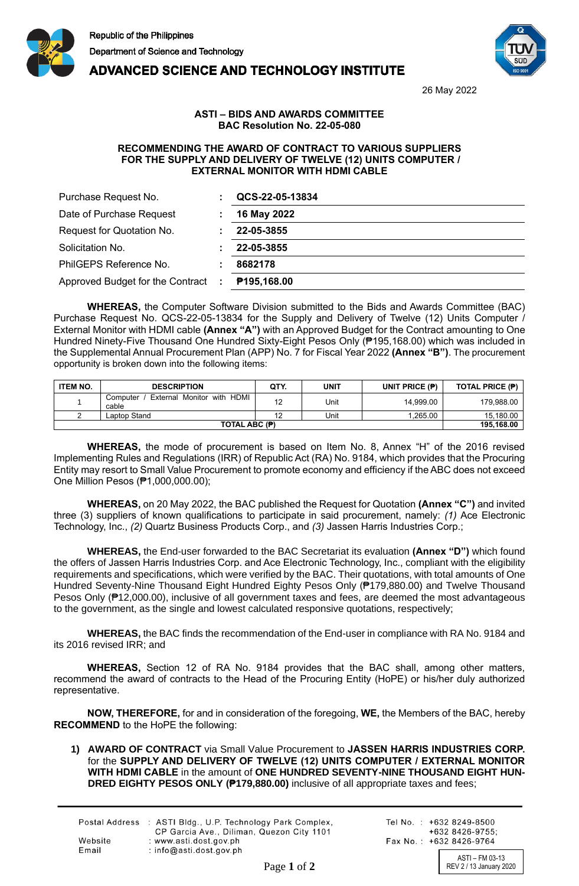



## **ADVANCED SCIENCE AND TECHNOLOGY INSTITUTE**

26 May 2022

## **ASTI – BIDS AND AWARDS COMMITTEE BAC Resolution No. 22-05-080**

## **RECOMMENDING THE AWARD OF CONTRACT TO VARIOUS SUPPLIERS FOR THE SUPPLY AND DELIVERY OF TWELVE (12) UNITS COMPUTER / EXTERNAL MONITOR WITH HDMI CABLE**

| Purchase Request No.             |      | QCS-22-05-13834 |
|----------------------------------|------|-----------------|
| Date of Purchase Request         |      | 16 May 2022     |
| Request for Quotation No.        |      | 22-05-3855      |
| Solicitation No.                 |      | 22-05-3855      |
| PhilGEPS Reference No.           |      | 8682178         |
| Approved Budget for the Contract | - 10 | P195,168.00     |

**WHEREAS,** the Computer Software Division submitted to the Bids and Awards Committee (BAC) Purchase Request No. QCS-22-05-13834 for the Supply and Delivery of Twelve (12) Units Computer / External Monitor with HDMI cable **(Annex "A")** with an Approved Budget for the Contract amounting to One Hundred Ninety-Five Thousand One Hundred Sixty-Eight Pesos Only (₱195,168.00) which was included in the Supplemental Annual Procurement Plan (APP) No. 7 for Fiscal Year 2022 **(Annex "B")**. The procurement opportunity is broken down into the following items:

| <b>ITEM NO.</b> | <b>DESCRIPTION</b>                              | QTY.     | UNIT | UNIT PRICE $(P)$ | TOTAL PRICE (P) |
|-----------------|-------------------------------------------------|----------|------|------------------|-----------------|
|                 | External Monitor with HDMI<br>Computer<br>cable | 10<br>ıZ | Unit | 14.999.00        | 179.988.00      |
|                 | Laptop Stand                                    |          | Unit | .265.00          | 15.180.00       |
|                 | 195.168.00                                      |          |      |                  |                 |

**WHEREAS,** the mode of procurement is based on Item No. 8, Annex "H" of the 2016 revised Implementing Rules and Regulations (IRR) of Republic Act (RA) No. 9184, which provides that the Procuring Entity may resort to Small Value Procurement to promote economy and efficiency if the ABC does not exceed One Million Pesos (₱1,000,000.00);

**WHEREAS,** on 20 May 2022, the BAC published the Request for Quotation **(Annex "C")** and invited three (3) suppliers of known qualifications to participate in said procurement, namely: *(1)* Ace Electronic Technology, Inc., *(2)* Quartz Business Products Corp., and *(3)* Jassen Harris Industries Corp.;

**WHEREAS,** the End-user forwarded to the BAC Secretariat its evaluation **(Annex "D")** which found the offers of Jassen Harris Industries Corp. and Ace Electronic Technology, Inc., compliant with the eligibility requirements and specifications, which were verified by the BAC. Their quotations, with total amounts of One Hundred Seventy-Nine Thousand Eight Hundred Eighty Pesos Only (₱179,880.00) and Twelve Thousand Pesos Only (₱12,000.00), inclusive of all government taxes and fees, are deemed the most advantageous to the government, as the single and lowest calculated responsive quotations, respectively;

**WHEREAS,** the BAC finds the recommendation of the End-user in compliance with RA No. 9184 and its 2016 revised IRR; and

**WHEREAS,** Section 12 of RA No. 9184 provides that the BAC shall, among other matters, recommend the award of contracts to the Head of the Procuring Entity (HoPE) or his/her duly authorized representative.

**NOW, THEREFORE,** for and in consideration of the foregoing, **WE,** the Members of the BAC, hereby **RECOMMEND** to the HoPE the following:

**1) AWARD OF CONTRACT** via Small Value Procurement to **JASSEN HARRIS INDUSTRIES CORP.** for the **SUPPLY AND DELIVERY OF TWELVE (12) UNITS COMPUTER / EXTERNAL MONITOR WITH HDMI CABLE** in the amount of **ONE HUNDRED SEVENTY-NINE THOUSAND EIGHT HUN-DRED EIGHTY PESOS ONLY (₱179,880.00)** inclusive of all appropriate taxes and fees;

|         | Postal Address : ASTI Bldg., U.P. Technology Park Complex,<br>CP Garcia Ave., Diliman, Quezon City 1101 |
|---------|---------------------------------------------------------------------------------------------------------|
| Website | : www.asti.dost.gov.ph                                                                                  |
| Email   | : $info@asti.dost.aov.sh$                                                                               |

Tel No.: +632 8249-8500  $+6328426-9755$ Fax No.: +632 8426-9764

ASTI – FM 03-13 Page 1 of 2 REV 2 / 13 January 2020